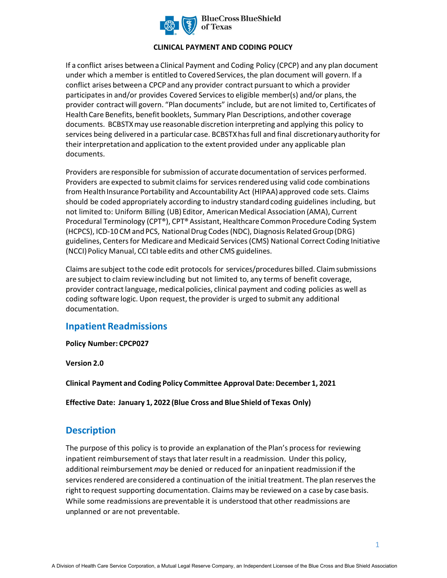

#### **CLINICAL PAYMENT AND CODING POLICY**

If a conflict arises between a Clinical Payment and Coding Policy (CPCP) and any plan document under which a member is entitled to Covered Services, the plan document will govern. If a conflict arises between a CPCP and any provider contract pursuant to which a provider participates in and/or provides Covered Services to eligible member(s) and/or plans, the provider contract will govern. "Plan documents" include, but are not limited to, Certificates of Health Care Benefits, benefit booklets, Summary Plan Descriptions, and other coverage documents. BCBSTXmay use reasonable discretion interpreting and applying this policy to services being delivered in a particular case. BCBSTXhas full and final discretionary authority for their interpretation and application to the extent provided under any applicable plan documents.

Providers are responsible for submission of accurate documentation of services performed. Providers are expected to submit claims for services rendered using valid code combinations from Health Insurance Portability and Accountability Act (HIPAA) approved code sets. Claims should be coded appropriately according to industry standard coding guidelines including, but not limited to: Uniform Billing (UB) Editor, American Medical Association (AMA), Current Procedural Terminology (CPT®), CPT® Assistant, Healthcare Common Procedure Coding System (HCPCS), ICD-10 CM and PCS, National Drug Codes (NDC), Diagnosis Related Group (DRG) guidelines, Centers for Medicare and Medicaid Services (CMS) National Correct Coding Initiative (NCCI) Policy Manual, CCI table edits and other CMS guidelines.

Claims are subject to the code edit protocols for services/procedures billed. Claim submissions are subject to claim review including but not limited to, any terms of benefit coverage, provider contract language, medical policies, clinical payment and coding policies as well as coding software logic. Upon request, the provider is urged to submit any additional documentation.

### **Inpatient Readmissions**

**Policy Number: CPCP027** 

**Version 2.0** 

**Clinical Payment and Coding Policy Committee Approval Date: December 1, 2021** 

**Effective Date: January 1, 2022 (Blue Cross and Blue Shield of Texas Only)** 

### **Description**

The purpose of this policy is to provide an explanation of the Plan's process for reviewing inpatient reimbursement of stays that later result in a readmission. Under this policy, additional reimbursement *may* be denied or reduced for an inpatient readmission if the services rendered are considered a continuation of the initial treatment. The plan reserves the right to request supporting documentation. Claims may be reviewed on a case by case basis. While some readmissions are preventable it is understood that other readmissions are unplanned or are not preventable.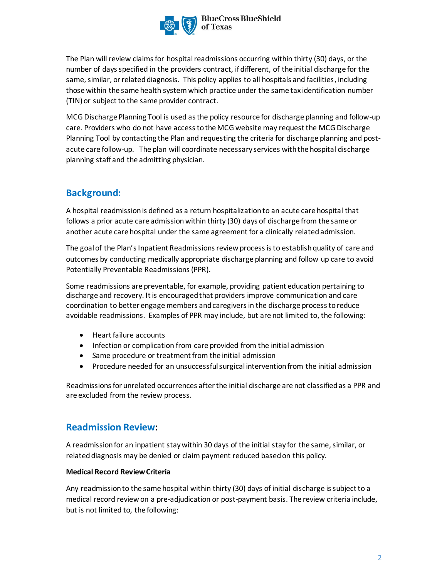

The Plan will review claims for hospital readmissions occurring within thirty (30) days, or the number of days specified in the providers contract, if different, of the initial discharge for the same, similar, orrelated diagnosis. This policy applies to all hospitals and facilities, including those within the same health systemwhich practice under the same tax identification number (TIN)or subject to the same provider contract.

MCG Discharge Planning Tool is used as the policy resource for discharge planning and follow-up care. Providers who do not have access to the MCG website may request the MCG Discharge Planning Tool by contacting the Plan and requesting the criteria for discharge planning and postacute care follow-up. The plan will coordinate necessary services with the hospital discharge planning staff and the admitting physician.

# **Background:**

A hospital readmissionis defined as a return hospitalization to an acute care hospital that follows a prior acute care admission within thirty (30) days of discharge from the same or another acute care hospital under the same agreement for a clinically related admission.

The goal of the Plan's Inpatient Readmissions review process is to establish quality of care and outcomes by conducting medically appropriate discharge planning and follow up care to avoid Potentially Preventable Readmissions(PPR).

Some readmissions are preventable, for example, providing patient education pertaining to discharge and recovery. It is encouraged that providers improve communication and care coordination to better engage members and caregivers in the discharge process to reduce avoidable readmissions. Examples of PPR may include, but are not limited to, the following:

- Heart failure accounts
- Infection or complication from care provided from the initial admission
- Same procedure or treatment from the initial admission
- Procedure needed for an unsuccessful surgical intervention from the initial admission

Readmissions for unrelated occurrences after the initial discharge are not classified as a PPR and are excluded from the review process.

## **Readmission Review:**

A readmission for an inpatient stay within 30 days of the initial stay for the same, similar, or related diagnosis may be denied or claim payment reduced based on this policy.

### **Medical Record Review Criteria**

Any readmission to the same hospital within thirty (30) days of initial discharge issubject to a medical record review on a pre-adjudication or post-payment basis. The review criteria include, but is not limited to, the following: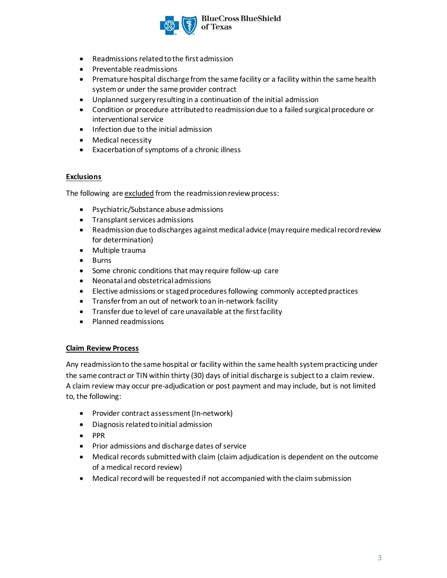

- Readmissions related to the first admission
- Preventable readmissions
- Premature hospital discharge from the same facility or a facility within the same health system or under the same provider contract
- Unplanned surgery resulting in a continuation of the initial admission
- Condition or procedure attributed to readmission due to a failed surgical procedure or interventional service
- Infection due to the initial admission
- Medical necessity
- Exacerbation of symptoms of a chronic illness

#### **Exclusions**

The following are excluded from the readmission review process:

- Psychiatric/Substance abuse admissions
- Transplant services admissions
- Readmission due to discharges against medical advice (may require medical record review for determination)
- Multiple trauma
- Burns
- Some chronic conditions that may require follow-up care
- Neonatal and obstetrical admissions
- Elective admissions or staged procedures following commonly accepted practices
- Transfer from an out of network to an in-network facility
- Transfer due to level of care unavailable at the first facility
- Planned readmissions

#### **Claim Review Process**

Any readmission to the same hospital or facility within the same health system practicing under the same contract or TIN within thirty (30) days of initial discharge is subject to a claim review. A claim review may occur pre-adjudication or post payment and may include, but is not limited to, the following:

- Provider contract assessment (In-network)
- Diagnosis related to initial admission
- PPR
- Prior admissions and discharge dates of service
- Medical records submitted with claim (claim adjudication is dependent on the outcome of a medical record review)
- Medical record will be requested if not accompanied with the claim submission